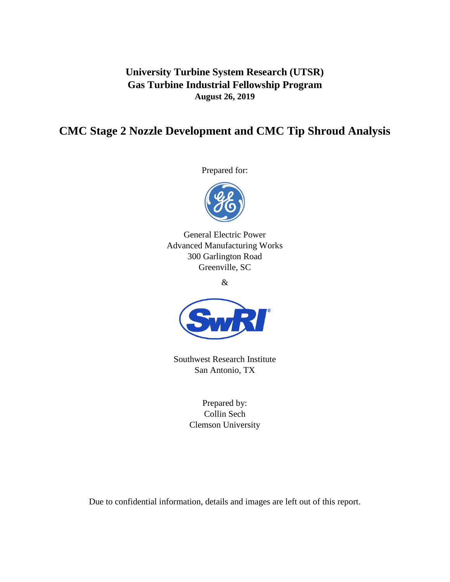**University Turbine System Research (UTSR) Gas Turbine Industrial Fellowship Program August 26, 2019**

# **CMC Stage 2 Nozzle Development and CMC Tip Shroud Analysis**

Prepared for:



General Electric Power Advanced Manufacturing Works 300 Garlington Road Greenville, SC

&



Southwest Research Institute San Antonio, TX

> Prepared by: Collin Sech Clemson University

Due to confidential information, details and images are left out of this report.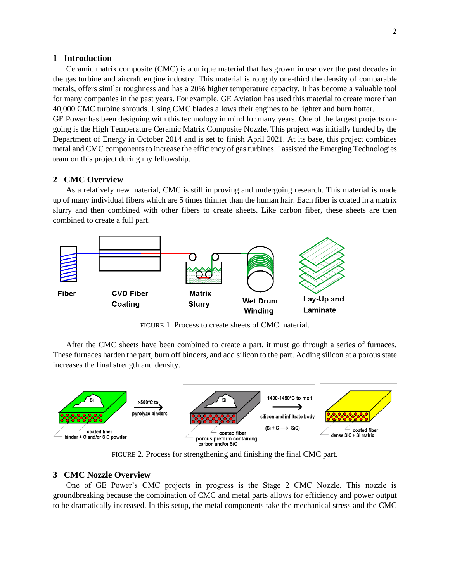### **1 Introduction**

Ceramic matrix composite (CMC) is a unique material that has grown in use over the past decades in the gas turbine and aircraft engine industry. This material is roughly one-third the density of comparable metals, offers similar toughness and has a 20% higher temperature capacity. It has become a valuable tool for many companies in the past years. For example, GE Aviation has used this material to create more than 40,000 CMC turbine shrouds. Using CMC blades allows their engines to be lighter and burn hotter.

GE Power has been designing with this technology in mind for many years. One of the largest projects ongoing is the High Temperature Ceramic Matrix Composite Nozzle. This project was initially funded by the Department of Energy in October 2014 and is set to finish April 2021. At its base, this project combines metal and CMC components to increase the efficiency of gas turbines. I assisted the Emerging Technologies team on this project during my fellowship.

# **2 CMC Overview**

As a relatively new material, CMC is still improving and undergoing research. This material is made up of many individual fibers which are 5 times thinner than the human hair. Each fiber is coated in a matrix slurry and then combined with other fibers to create sheets. Like carbon fiber, these sheets are then combined to create a full part.



FIGURE 1. Process to create sheets of CMC material.

After the CMC sheets have been combined to create a part, it must go through a series of furnaces. These furnaces harden the part, burn off binders, and add silicon to the part. Adding silicon at a porous state increases the final strength and density.



FIGURE 2. Process for strengthening and finishing the final CMC part.

## **3 CMC Nozzle Overview**

One of GE Power's CMC projects in progress is the Stage 2 CMC Nozzle. This nozzle is groundbreaking because the combination of CMC and metal parts allows for efficiency and power output to be dramatically increased. In this setup, the metal components take the mechanical stress and the CMC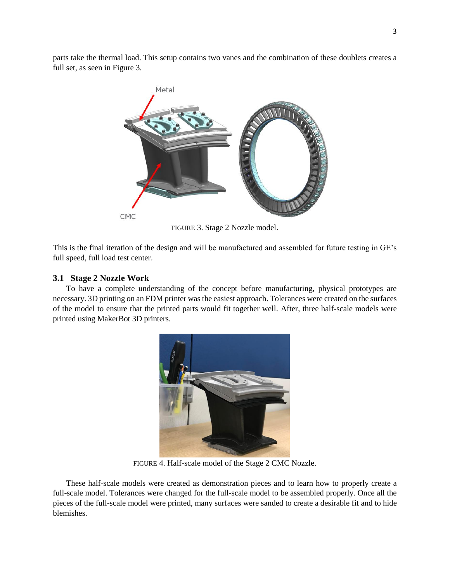parts take the thermal load. This setup contains two vanes and the combination of these doublets creates a full set, as seen in Figure 3.



FIGURE 3. Stage 2 Nozzle model.

This is the final iteration of the design and will be manufactured and assembled for future testing in GE's full speed, full load test center.

# **3.1 Stage 2 Nozzle Work**

To have a complete understanding of the concept before manufacturing, physical prototypes are necessary. 3D printing on an FDM printer was the easiest approach. Tolerances were created on the surfaces of the model to ensure that the printed parts would fit together well. After, three half-scale models were printed using MakerBot 3D printers.



FIGURE 4. Half-scale model of the Stage 2 CMC Nozzle.

These half-scale models were created as demonstration pieces and to learn how to properly create a full-scale model. Tolerances were changed for the full-scale model to be assembled properly. Once all the pieces of the full-scale model were printed, many surfaces were sanded to create a desirable fit and to hide blemishes.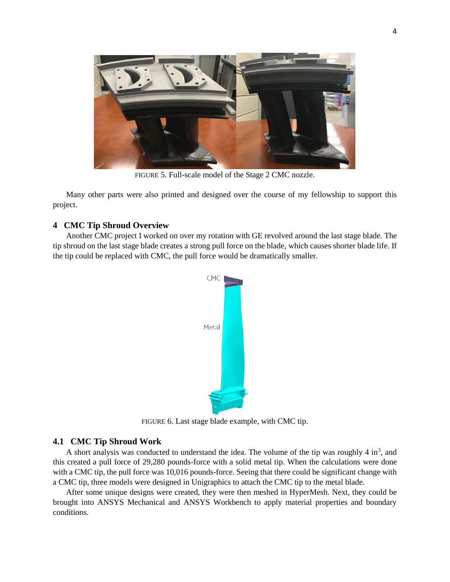

FIGURE 5. Full-scale model of the Stage 2 CMC nozzle.

Many other parts were also printed and designed over the course of my fellowship to support this project.

# **4 CMC Tip Shroud Overview**

Another CMC project I worked on over my rotation with GE revolved around the last stage blade. The tip shroud on the last stage blade creates a strong pull force on the blade, which causes shorter blade life. If the tip could be replaced with CMC, the pull force would be dramatically smaller.



FIGURE 6. Last stage blade example, with CMC tip.

## **4.1 CMC Tip Shroud Work**

A short analysis was conducted to understand the idea. The volume of the tip was roughly  $4 \text{ in}^3$ , and this created a pull force of 29,280 pounds-force with a solid metal tip. When the calculations were done with a CMC tip, the pull force was 10,016 pounds-force. Seeing that there could be significant change with a CMC tip, three models were designed in Unigraphics to attach the CMC tip to the metal blade.

After some unique designs were created, they were then meshed in HyperMesh. Next, they could be brought into ANSYS Mechanical and ANSYS Workbench to apply material properties and boundary conditions.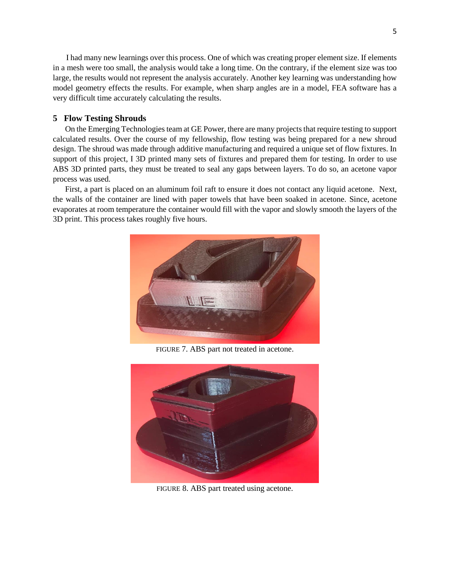I had many new learnings over this process. One of which was creating proper element size. If elements in a mesh were too small, the analysis would take a long time. On the contrary, if the element size was too large, the results would not represent the analysis accurately. Another key learning was understanding how model geometry effects the results. For example, when sharp angles are in a model, FEA software has a very difficult time accurately calculating the results.

### **5 Flow Testing Shrouds**

 On the Emerging Technologies team at GE Power, there are many projects that require testing to support calculated results. Over the course of my fellowship, flow testing was being prepared for a new shroud design. The shroud was made through additive manufacturing and required a unique set of flow fixtures. In support of this project, I 3D printed many sets of fixtures and prepared them for testing. In order to use ABS 3D printed parts, they must be treated to seal any gaps between layers. To do so, an acetone vapor process was used.

 First, a part is placed on an aluminum foil raft to ensure it does not contact any liquid acetone. Next, the walls of the container are lined with paper towels that have been soaked in acetone. Since, acetone evaporates at room temperature the container would fill with the vapor and slowly smooth the layers of the 3D print. This process takes roughly five hours.



FIGURE 7. ABS part not treated in acetone.



FIGURE 8. ABS part treated using acetone.